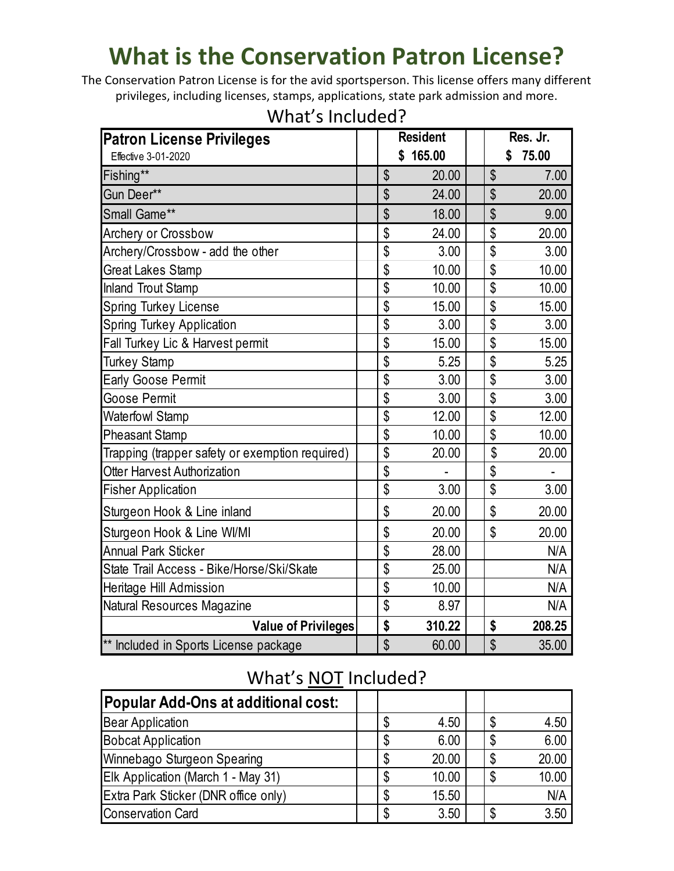# **What is the Conservation Patron License?**

The Conservation Patron License is for the avid sportsperson. This license offers many different privileges, including licenses, stamps, applications, state park admission and more.

| <b>Patron License Privileges</b>                | <b>Resident</b> |              |    | Res. Jr.    |  |
|-------------------------------------------------|-----------------|--------------|----|-------------|--|
| Effective 3-01-2020                             |                 | 165.00<br>\$ |    | 75.00<br>\$ |  |
| Fishing**                                       | \$              | 20.00        | \$ | 7.00        |  |
| Gun Deer**                                      | \$              | 24.00        | \$ | 20.00       |  |
| Small Game**                                    | \$              | 18.00        | \$ | 9.00        |  |
| Archery or Crossbow                             | \$              | 24.00        | \$ | 20.00       |  |
| Archery/Crossbow - add the other                | \$              | 3.00         | \$ | 3.00        |  |
| <b>Great Lakes Stamp</b>                        | \$              | 10.00        | \$ | 10.00       |  |
| <b>Inland Trout Stamp</b>                       | \$              | 10.00        | \$ | 10.00       |  |
| Spring Turkey License                           | \$              | 15.00        | \$ | 15.00       |  |
| Spring Turkey Application                       | \$              | 3.00         | \$ | 3.00        |  |
| Fall Turkey Lic & Harvest permit                | \$              | 15.00        | \$ | 15.00       |  |
| Turkey Stamp                                    | \$              | 5.25         | \$ | 5.25        |  |
| <b>Early Goose Permit</b>                       | \$              | 3.00         | \$ | 3.00        |  |
| Goose Permit                                    | \$              | 3.00         | \$ | 3.00        |  |
| Waterfowl Stamp                                 | \$              | 12.00        | \$ | 12.00       |  |
| <b>Pheasant Stamp</b>                           | \$              | 10.00        | \$ | 10.00       |  |
| Trapping (trapper safety or exemption required) | \$              | 20.00        | \$ | 20.00       |  |
| Otter Harvest Authorization                     | \$              |              | \$ |             |  |
| <b>Fisher Application</b>                       | \$              | 3.00         | \$ | 3.00        |  |
| Sturgeon Hook & Line inland                     | \$              | 20.00        | \$ | 20.00       |  |
| Sturgeon Hook & Line WI/MI                      | \$              | 20.00        | \$ | 20.00       |  |
| <b>Annual Park Sticker</b>                      | \$              | 28.00        |    | N/A         |  |
| State Trail Access - Bike/Horse/Ski/Skate       | \$              | 25.00        |    | N/A         |  |
| Heritage Hill Admission                         | \$              | 10.00        |    | N/A         |  |
| Natural Resources Magazine                      | \$              | 8.97         |    | N/A         |  |
| <b>Value of Privileges</b>                      | \$              | 310.22       | \$ | 208.25      |  |
| ** Included in Sports License package           | \$              | 60.00        | \$ | 35.00       |  |

## What's Included?

## What's NOT Included?

| <b>Popular Add-Ons at additional cost:</b> |    |       |    |       |
|--------------------------------------------|----|-------|----|-------|
| <b>Bear Application</b>                    | S  | 4.50  | \$ | 4.50  |
| <b>Bobcat Application</b>                  | S  | 6.00  | \$ | 6.00  |
| Winnebago Sturgeon Spearing                | \$ | 20.00 | \$ | 20.00 |
| Elk Application (March 1 - May 31)         | \$ | 10.00 | \$ | 10.00 |
| Extra Park Sticker (DNR office only)       | ß. | 15.50 |    | N/A   |
| <b>Conservation Card</b>                   | ß. | 3.50  | \$ | 3.50  |